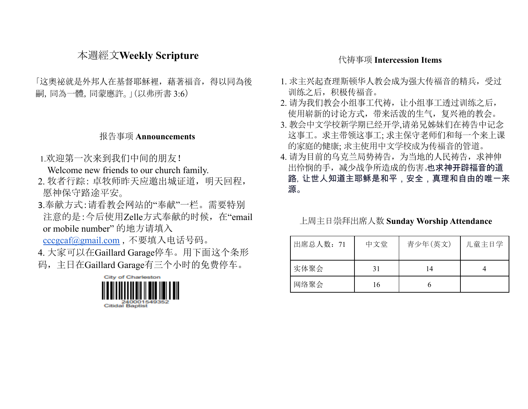## 本週經文**Weekly Scripture**

「这奧祕就是外邦人在基督耶穌裡,藉著福音,得以同為後 嗣,同為一體,同蒙應許。」(以弗所書 3:6)

### 报告事项 **Announcements**

1.欢迎第一次来到我们中间的朋友!

Welcome new friends to our church family.

- 2. 牧者行踪: 卓牧师昨天应邀出城证道,明天回程, 愿神保守路途平安。
- 3.奉献方式:请看教会网站的"奉献"一栏。需要特别 注意的是:今后使用Zelle方式奉献的时候,在"email or mobile number" 的地方请填入

[cccgcaf@gmail.com](mailto:cccgcaf@gmail.com) ,不要填入电话号码。

4. 大家可以在Gaillard Garage停车。用下面这个条形 码,主日在Gaillard Garage有三个小时的免费停车。



#### 代祷事项 **Intercession Items**

- 1. 求主兴起查理斯顿华人教会成为强大传福音的精兵,受过 训练之后,积极传福音。
- 2. 请为我们教会小组事工代祷, 让小组事工透过训练之后, 使用崭新的讨论方式,带来活泼的生气,复兴祂的教会。
- 3. 教会中文学校新学期已经开学,请弟兄姊妹们在祷告中记念 这事工。求主带领这事工; 求主保守老师们和每一个来上课 的家庭的健康; 求主使用中文学校成为传福音的管道。
- 4. 请为目前的乌克兰局势祷告,为当地的人民祷告, 求神伸 出怜悯的手,减少战争所造成的伤害。也求神开辟福音的道 路,让世人知道主耶稣是和平,安全,真理和自由的唯一来 源。

上周主日崇拜出席人数 **Sunday Worship Attendance**

| 出席总人数: 71 | 中文堂 | 青少年(英文) | 儿童主日学 |
|-----------|-----|---------|-------|
| 实体聚会      | 31  | 14      |       |
| 网络聚会      | 16  | O       |       |